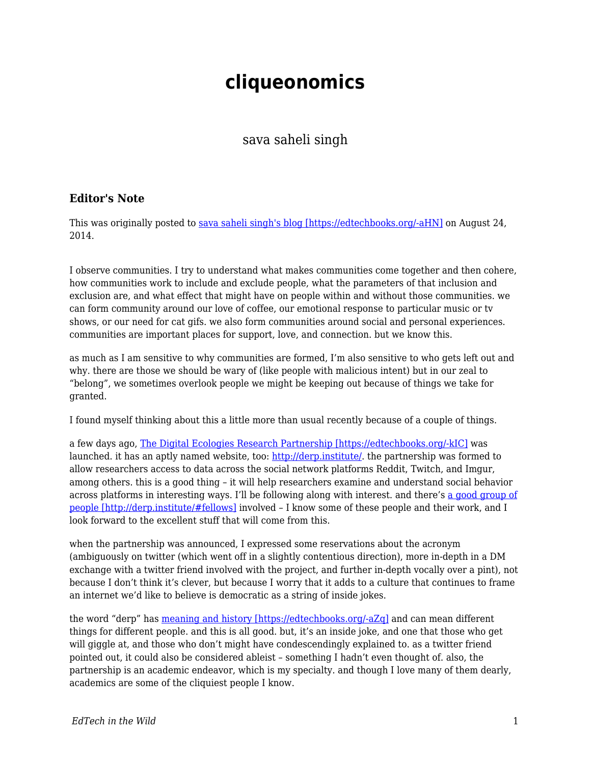## **cliqueonomics**

sava saheli singh

## **Editor's Note**

This was originally posted to [sava saheli singh's blog \[https://edtechbooks.org/-aHN\]](https://savasavasava.wordpress.com/2014/08/24/cliqueonomics/) on August 24, 2014.

I observe communities. I try to understand what makes communities come together and then cohere, how communities work to include and exclude people, what the parameters of that inclusion and exclusion are, and what effect that might have on people within and without those communities. we can form community around our love of coffee, our emotional response to particular music or tv shows, or our need for cat gifs. we also form communities around social and personal experiences. communities are important places for support, love, and connection. but we know this.

as much as I am sensitive to why communities are formed, I'm also sensitive to who gets left out and why. there are those we should be wary of (like people with malicious intent) but in our zeal to "belong", we sometimes overlook people we might be keeping out because of things we take for granted.

I found myself thinking about this a little more than usual recently because of a couple of things.

a few days ago, [The Digital Ecologies Research Partnership \[https://edtechbooks.org/-kIC\]](http://www.theguardian.com/technology/2014/aug/18/reddit-imgur-twitch-derp-social-data) was launched. it has an aptly named website, too: [http://derp.institute/.](http://derp.institute/) the partnership was formed to allow researchers access to data across the social network platforms Reddit, Twitch, and Imgur, among others. this is a good thing – it will help researchers examine and understand social behavior across platforms in interesting ways. I'll be following along with interest. and there's [a good group of](http://derp.institute/#fellows) [people \[http://derp.institute/#fellows\]](http://derp.institute/#fellows) involved – I know some of these people and their work, and I look forward to the excellent stuff that will come from this.

when the partnership was announced, I expressed some reservations about the acronym (ambiguously on twitter (which went off in a slightly contentious direction), more in-depth in a DM exchange with a twitter friend involved with the project, and further in-depth vocally over a pint), not because I don't think it's clever, but because I worry that it adds to a culture that continues to frame an internet we'd like to believe is democratic as a string of inside jokes.

the word "derp" has [meaning and history \[https://edtechbooks.org/-aZq\]](http://knowyourmeme.com/memes/derp) and can mean different things for different people. and this is all good. but, it's an inside joke, and one that those who get will giggle at, and those who don't might have condescendingly explained to. as a twitter friend pointed out, it could also be considered ableist – something I hadn't even thought of. also, the partnership is an academic endeavor, which is my specialty. and though I love many of them dearly, academics are some of the cliquiest people I know.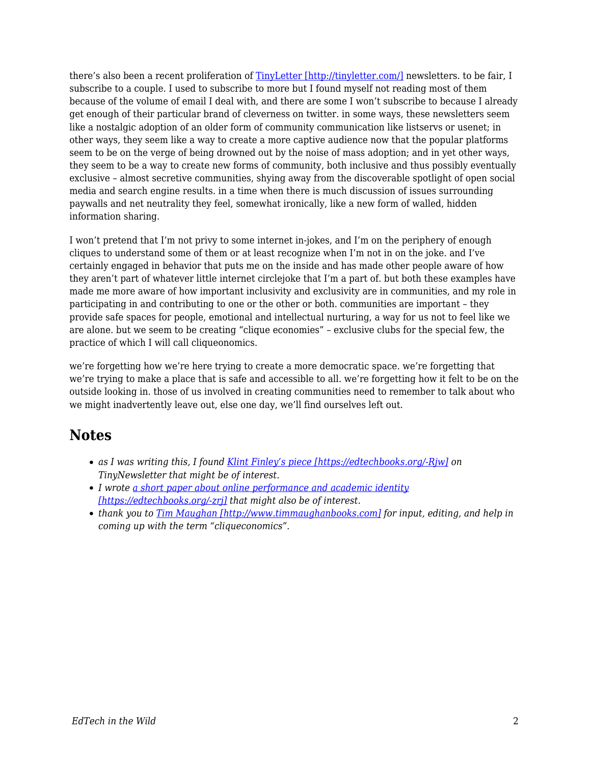there's also been a recent proliferation of [TinyLetter \[http://tinyletter.com/\]](http://tinyletter.com/) newsletters. to be fair, I subscribe to a couple. I used to subscribe to more but I found myself not reading most of them because of the volume of email I deal with, and there are some I won't subscribe to because I already get enough of their particular brand of cleverness on twitter. in some ways, these newsletters seem like a nostalgic adoption of an older form of community communication like listservs or usenet; in other ways, they seem like a way to create a more captive audience now that the popular platforms seem to be on the verge of being drowned out by the noise of mass adoption; and in yet other ways, they seem to be a way to create new forms of community, both inclusive and thus possibly eventually exclusive – almost secretive communities, shying away from the discoverable spotlight of open social media and search engine results. in a time when there is much discussion of issues surrounding paywalls and net neutrality they feel, somewhat ironically, like a new form of walled, hidden information sharing.

I won't pretend that I'm not privy to some internet in-jokes, and I'm on the periphery of enough cliques to understand some of them or at least recognize when I'm not in on the joke. and I've certainly engaged in behavior that puts me on the inside and has made other people aware of how they aren't part of whatever little internet circlejoke that I'm a part of. but both these examples have made me more aware of how important inclusivity and exclusivity are in communities, and my role in participating in and contributing to one or the other or both. communities are important – they provide safe spaces for people, emotional and intellectual nurturing, a way for us not to feel like we are alone. but we seem to be creating "clique economies" – exclusive clubs for the special few, the practice of which I will call cliqueonomics.

we're forgetting how we're here trying to create a more democratic space. we're forgetting that we're trying to make a place that is safe and accessible to all. we're forgetting how it felt to be on the outside looking in. those of us involved in creating communities need to remember to talk about who we might inadvertently leave out, else one day, we'll find ourselves left out.

## **Notes**

- *as I was writing this, I found [Klint Finley's piece \[https://edtechbooks.org/-Rjw\]](http://techcrunch.com/2014/08/23/why-everyone-is-obsessed-with-e-mail-newsletters-right-now/) on TinyNewsletter that might be of interest.*
- *I wrote [a short paper about online performance and academic identity](http://spir.aoir.org/index.php/spir/article/view/835/pdf) [\[https://edtechbooks.org/-zrj\]](http://spir.aoir.org/index.php/spir/article/view/835/pdf) that might also be of interest.*
- *thank you to [Tim Maughan \[http://www.timmaughanbooks.com\]](http://www.timmaughanbooks.com) for input, editing, and help in coming up with the term "cliqueconomics".*